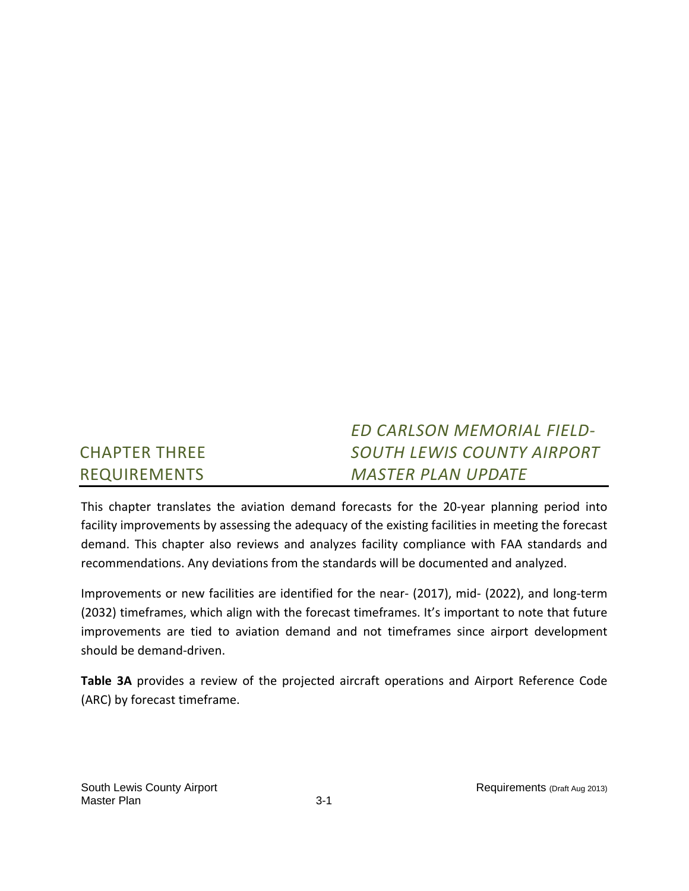#### CHAPTER THREE REQUIREMENTS *ED CARLSON MEMORIAL FIELD‐ SOUTH LEWIS COUNTY AIRPORT MASTER PLAN UPDATE*

This chapter translates the aviation demand forecasts for the 20‐year planning period into facility improvements by assessing the adequacy of the existing facilities in meeting the forecast demand. This chapter also reviews and analyzes facility compliance with FAA standards and recommendations. Any deviations from the standards will be documented and analyzed.

Improvements or new facilities are identified for the near‐ (2017), mid‐ (2022), and long‐term (2032) timeframes, which align with the forecast timeframes. It's important to note that future improvements are tied to aviation demand and not timeframes since airport development should be demand‐driven.

**Table 3A** provides a review of the projected aircraft operations and Airport Reference Code (ARC) by forecast timeframe.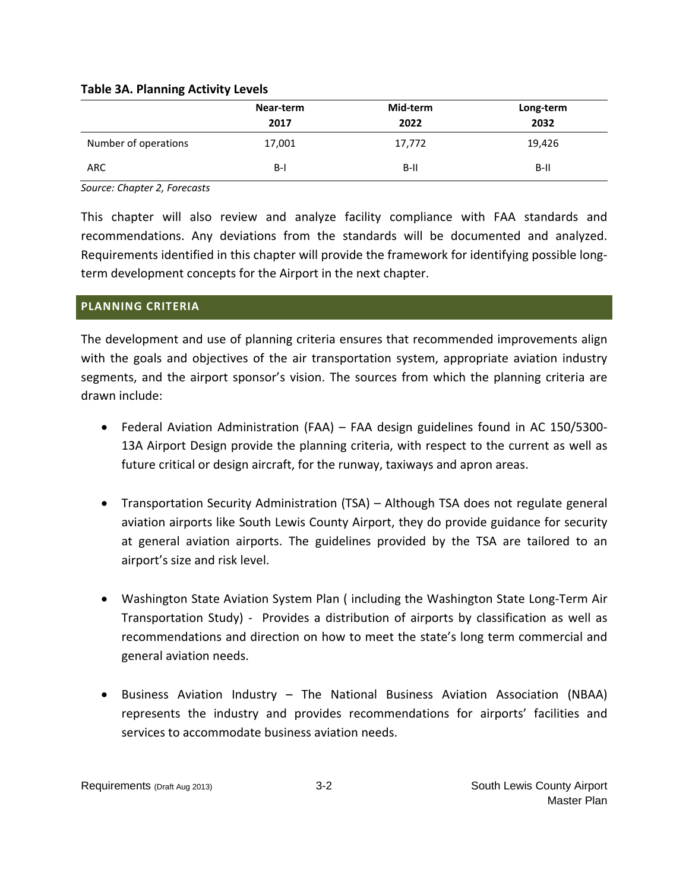## **Table 3A. Planning Activity Levels**

|                      | Near-term | Mid-term | Long-term |
|----------------------|-----------|----------|-----------|
|                      | 2017      | 2022     | 2032      |
| Number of operations | 17,001    | 17,772   | 19,426    |
| <b>ARC</b>           | $B-I$     | $B-II$   | $B-II$    |

*Source: Chapter 2, Forecasts*

This chapter will also review and analyze facility compliance with FAA standards and recommendations. Any deviations from the standards will be documented and analyzed. Requirements identified in this chapter will provide the framework for identifying possible long‐ term development concepts for the Airport in the next chapter.

## **PLANNING CRITERIA**

The development and use of planning criteria ensures that recommended improvements align with the goals and objectives of the air transportation system, appropriate aviation industry segments, and the airport sponsor's vision. The sources from which the planning criteria are drawn include:

- Federal Aviation Administration (FAA) FAA design guidelines found in AC 150/5300‐ 13A Airport Design provide the planning criteria, with respect to the current as well as future critical or design aircraft, for the runway, taxiways and apron areas.
- Transportation Security Administration (TSA) Although TSA does not regulate general aviation airports like South Lewis County Airport, they do provide guidance for security at general aviation airports. The guidelines provided by the TSA are tailored to an airport's size and risk level.
- Washington State Aviation System Plan (including the Washington State Long-Term Air Transportation Study) - Provides a distribution of airports by classification as well as recommendations and direction on how to meet the state's long term commercial and general aviation needs.
- Business Aviation Industry The National Business Aviation Association (NBAA) represents the industry and provides recommendations for airports' facilities and services to accommodate business aviation needs.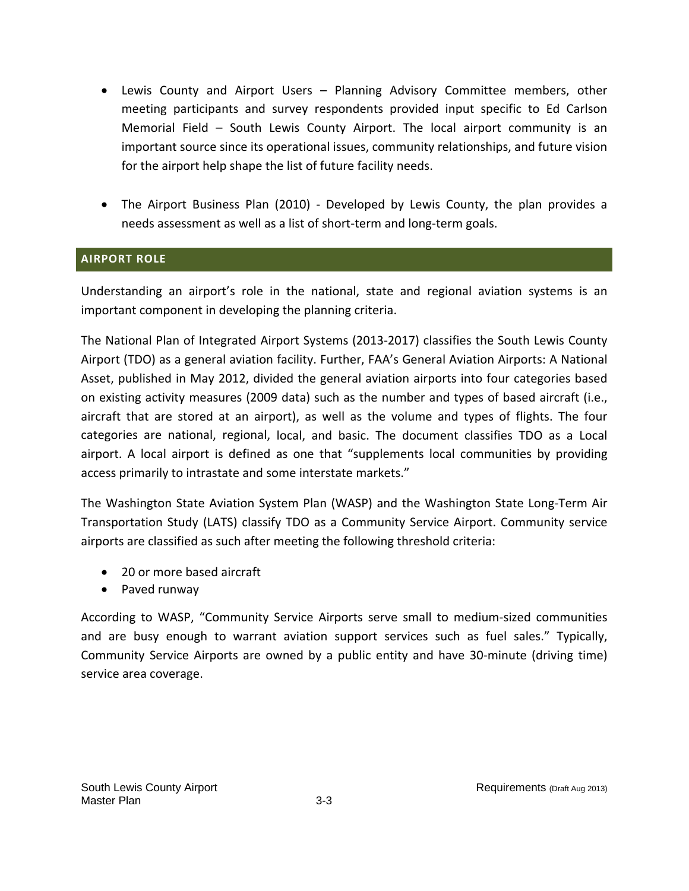- Lewis County and Airport Users Planning Advisory Committee members, other meeting participants and survey respondents provided input specific to Ed Carlson Memorial Field – South Lewis County Airport. The local airport community is an important source since its operational issues, community relationships, and future vision for the airport help shape the list of future facility needs.
- The Airport Business Plan (2010) Developed by Lewis County, the plan provides a needs assessment as well as a list of short‐term and long‐term goals.

# **AIRPORT ROLE**

Understanding an airport's role in the national, state and regional aviation systems is an important component in developing the planning criteria.

The National Plan of Integrated Airport Systems (2013‐2017) classifies the South Lewis County Airport (TDO) as a general aviation facility. Further, FAA's General Aviation Airports: A National Asset, published in May 2012, divided the general aviation airports into four categories based on existing activity measures (2009 data) such as the number and types of based aircraft (i.e., aircraft that are stored at an airport), as well as the volume and types of flights. The four categories are national, regional, local, and basic. The document classifies TDO as a Local airport. A local airport is defined as one that "supplements local communities by providing access primarily to intrastate and some interstate markets."

The Washington State Aviation System Plan (WASP) and the Washington State Long‐Term Air Transportation Study (LATS) classify TDO as a Community Service Airport. Community service airports are classified as such after meeting the following threshold criteria:

- 20 or more based aircraft
- Paved runway

According to WASP, "Community Service Airports serve small to medium‐sized communities and are busy enough to warrant aviation support services such as fuel sales." Typically, Community Service Airports are owned by a public entity and have 30‐minute (driving time) service area coverage.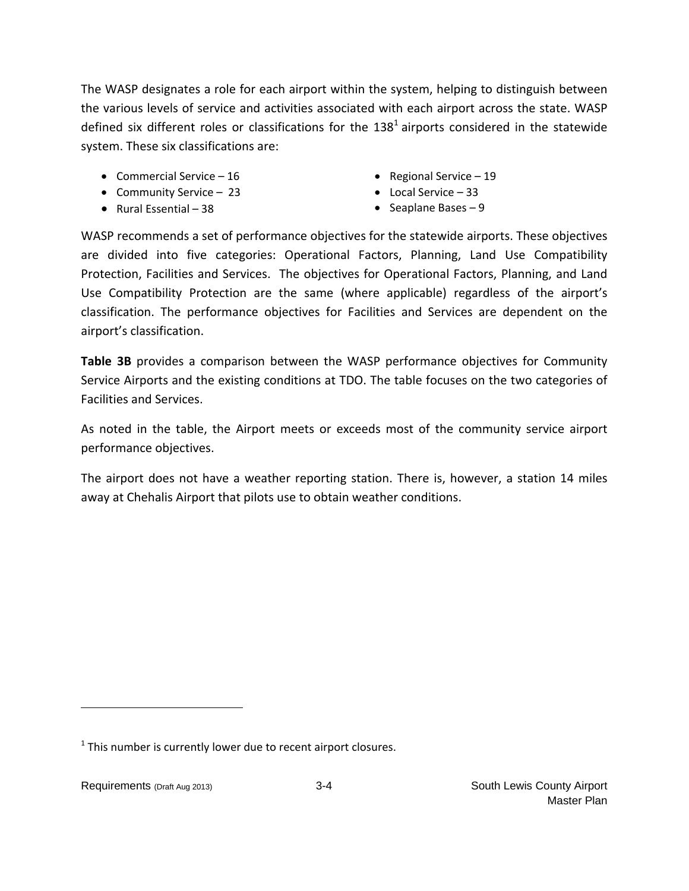The WASP designates a role for each airport within the system, helping to distinguish between the various levels of service and activities associated with each airport across the state. WASP defined six different roles or classifications for the  $138<sup>1</sup>$  airports considered in the statewide system. These six classifications are:

- Commercial Service  $-16$
- Community Service 23
- $\bullet$  Rural Essential 38
- Regional Service  $-19$
- Local Service 33
- Seaplane Bases  $-9$

WASP recommends a set of performance objectives for the statewide airports. These objectives are divided into five categories: Operational Factors, Planning, Land Use Compatibility Protection, Facilities and Services. The objectives for Operational Factors, Planning, and Land Use Compatibility Protection are the same (where applicable) regardless of the airport's classification. The performance objectives for Facilities and Services are dependent on the airport's classification.

**Table 3B** provides a comparison between the WASP performance objectives for Community Service Airports and the existing conditions at TDO. The table focuses on the two categories of Facilities and Services.

As noted in the table, the Airport meets or exceeds most of the community service airport performance objectives.

The airport does not have a weather reporting station. There is, however, a station 14 miles away at Chehalis Airport that pilots use to obtain weather conditions.

 $1$  This number is currently lower due to recent airport closures.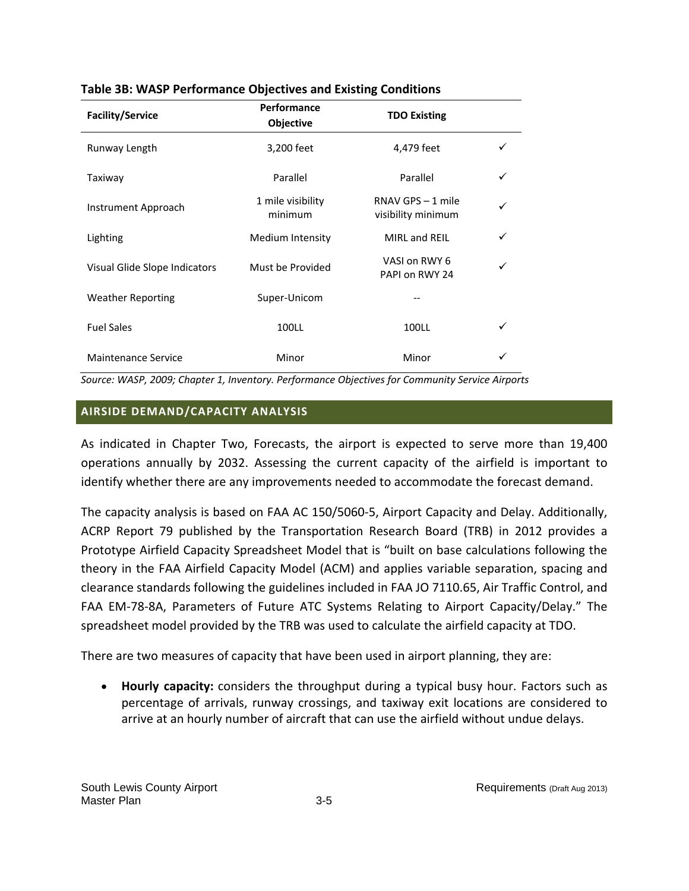| <b>Facility/Service</b>       | Performance<br>Objective     | <b>TDO Existing</b>                     |   |
|-------------------------------|------------------------------|-----------------------------------------|---|
| Runway Length                 | 3,200 feet                   | 4,479 feet                              |   |
| Taxiway                       | Parallel                     | Parallel                                |   |
| Instrument Approach           | 1 mile visibility<br>minimum | RNAV GPS - 1 mile<br>visibility minimum |   |
| Lighting                      | Medium Intensity             | MIRL and REIL                           | ✓ |
| Visual Glide Slope Indicators | Must be Provided             | VASI on RWY 6<br>PAPI on RWY 24         |   |
| <b>Weather Reporting</b>      | Super-Unicom                 |                                         |   |
| <b>Fuel Sales</b>             | 100LL                        | 100LL                                   |   |
| <b>Maintenance Service</b>    | Minor                        | Minor                                   |   |

## **Table 3B: WASP Performance Objectives and Existing Conditions**

*Source: WASP, 2009; Chapter 1, Inventory. Performance Objectives for Community Service Airports* 

# **AIRSIDE DEMAND/CAPACITY ANALYSIS**

As indicated in Chapter Two, Forecasts, the airport is expected to serve more than 19,400 operations annually by 2032. Assessing the current capacity of the airfield is important to identify whether there are any improvements needed to accommodate the forecast demand.

The capacity analysis is based on FAA AC 150/5060‐5, Airport Capacity and Delay. Additionally, ACRP Report 79 published by the Transportation Research Board (TRB) in 2012 provides a Prototype Airfield Capacity Spreadsheet Model that is "built on base calculations following the theory in the FAA Airfield Capacity Model (ACM) and applies variable separation, spacing and clearance standards following the guidelines included in FAA JO 7110.65, Air Traffic Control, and FAA EM‐78‐8A, Parameters of Future ATC Systems Relating to Airport Capacity/Delay." The spreadsheet model provided by the TRB was used to calculate the airfield capacity at TDO.

There are two measures of capacity that have been used in airport planning, they are:

 **Hourly capacity:** considers the throughput during a typical busy hour. Factors such as percentage of arrivals, runway crossings, and taxiway exit locations are considered to arrive at an hourly number of aircraft that can use the airfield without undue delays.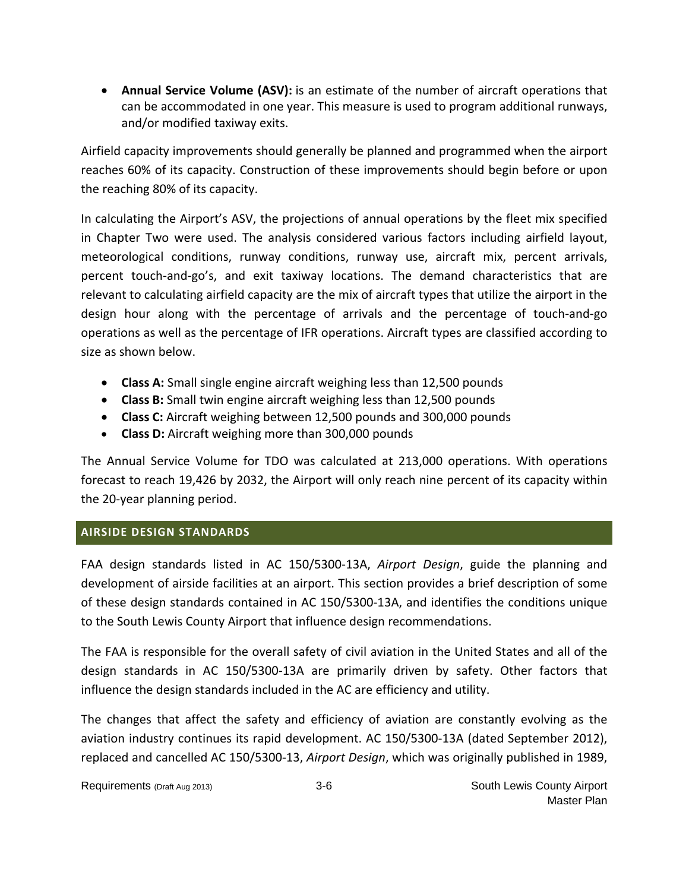**Annual Service Volume (ASV):** is an estimate of the number of aircraft operations that can be accommodated in one year. This measure is used to program additional runways, and/or modified taxiway exits.

Airfield capacity improvements should generally be planned and programmed when the airport reaches 60% of its capacity. Construction of these improvements should begin before or upon the reaching 80% of its capacity.

In calculating the Airport's ASV, the projections of annual operations by the fleet mix specified in Chapter Two were used. The analysis considered various factors including airfield layout, meteorological conditions, runway conditions, runway use, aircraft mix, percent arrivals, percent touch-and-go's, and exit taxiway locations. The demand characteristics that are relevant to calculating airfield capacity are the mix of aircraft types that utilize the airport in the design hour along with the percentage of arrivals and the percentage of touch‐and‐go operations as well as the percentage of IFR operations. Aircraft types are classified according to size as shown below.

- **Class A:** Small single engine aircraft weighing less than 12,500 pounds
- **Class B:** Small twin engine aircraft weighing less than 12,500 pounds
- **Class C:** Aircraft weighing between 12,500 pounds and 300,000 pounds
- **Class D:** Aircraft weighing more than 300,000 pounds

The Annual Service Volume for TDO was calculated at 213,000 operations. With operations forecast to reach 19,426 by 2032, the Airport will only reach nine percent of its capacity within the 20‐year planning period.

# **AIRSIDE DESIGN STANDARDS**

FAA design standards listed in AC 150/5300‐13A, *Airport Design*, guide the planning and development of airside facilities at an airport. This section provides a brief description of some of these design standards contained in AC 150/5300‐13A, and identifies the conditions unique to the South Lewis County Airport that influence design recommendations.

The FAA is responsible for the overall safety of civil aviation in the United States and all of the design standards in AC 150/5300‐13A are primarily driven by safety. Other factors that influence the design standards included in the AC are efficiency and utility.

The changes that affect the safety and efficiency of aviation are constantly evolving as the aviation industry continues its rapid development. AC 150/5300‐13A (dated September 2012), replaced and cancelled AC 150/5300‐13, *Airport Design*, which was originally published in 1989,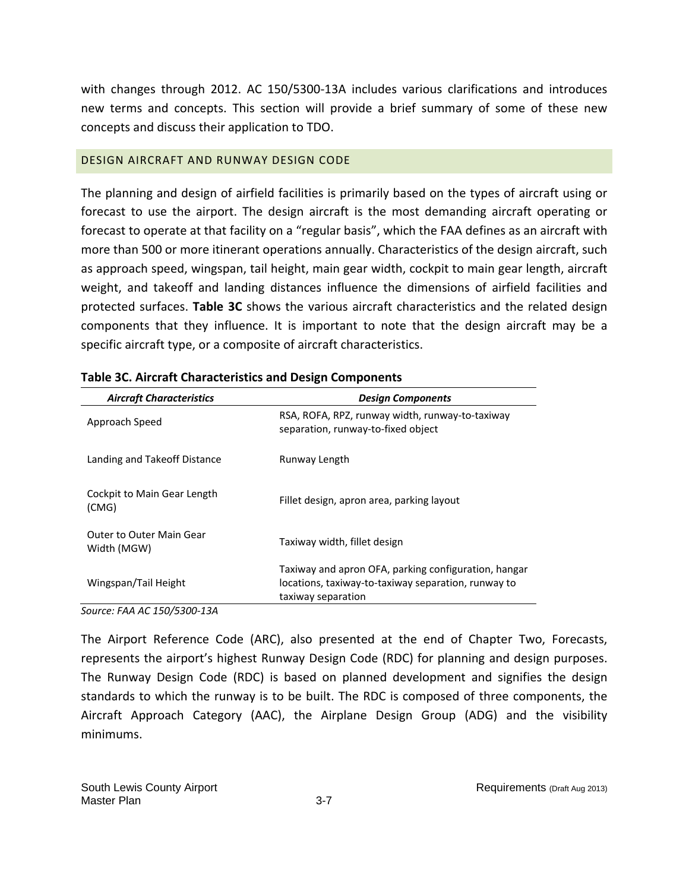with changes through 2012. AC 150/5300-13A includes various clarifications and introduces new terms and concepts. This section will provide a brief summary of some of these new concepts and discuss their application to TDO.

# DESIGN AIRCRAFT AND RUNWAY DESIGN CODE

The planning and design of airfield facilities is primarily based on the types of aircraft using or forecast to use the airport. The design aircraft is the most demanding aircraft operating or forecast to operate at that facility on a "regular basis", which the FAA defines as an aircraft with more than 500 or more itinerant operations annually. Characteristics of the design aircraft, such as approach speed, wingspan, tail height, main gear width, cockpit to main gear length, aircraft weight, and takeoff and landing distances influence the dimensions of airfield facilities and protected surfaces. **Table 3C** shows the various aircraft characteristics and the related design components that they influence. It is important to note that the design aircraft may be a specific aircraft type, or a composite of aircraft characteristics.

| <b>Aircraft Characteristics</b>                | <b>Design Components</b>                                                                                                          |
|------------------------------------------------|-----------------------------------------------------------------------------------------------------------------------------------|
| Approach Speed                                 | RSA, ROFA, RPZ, runway width, runway-to-taxiway<br>separation, runway-to-fixed object                                             |
| Landing and Takeoff Distance                   | Runway Length                                                                                                                     |
| Cockpit to Main Gear Length<br>(CMG)           | Fillet design, apron area, parking layout                                                                                         |
| <b>Outer to Outer Main Gear</b><br>Width (MGW) | Taxiway width, fillet design                                                                                                      |
| Wingspan/Tail Height                           | Taxiway and apron OFA, parking configuration, hangar<br>locations, taxiway-to-taxiway separation, runway to<br>taxiway separation |

*Source: FAA AC 150/5300‐13A*

The Airport Reference Code (ARC), also presented at the end of Chapter Two, Forecasts, represents the airport's highest Runway Design Code (RDC) for planning and design purposes. The Runway Design Code (RDC) is based on planned development and signifies the design standards to which the runway is to be built. The RDC is composed of three components, the Aircraft Approach Category (AAC), the Airplane Design Group (ADG) and the visibility minimums.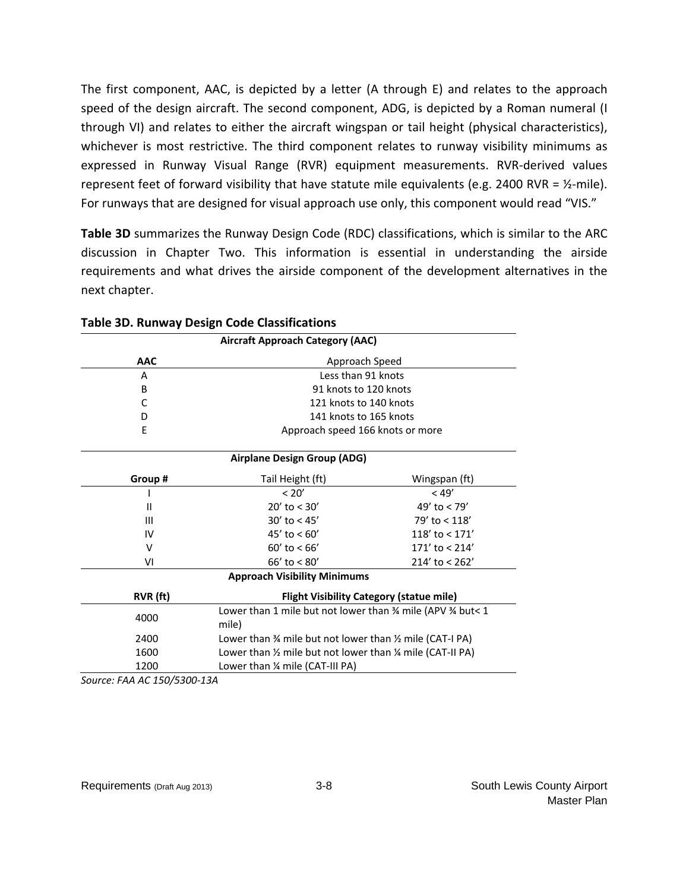The first component, AAC, is depicted by a letter (A through E) and relates to the approach speed of the design aircraft. The second component, ADG, is depicted by a Roman numeral (I through VI) and relates to either the aircraft wingspan or tail height (physical characteristics), whichever is most restrictive. The third component relates to runway visibility minimums as expressed in Runway Visual Range (RVR) equipment measurements. RVR‐derived values represent feet of forward visibility that have statute mile equivalents (e.g. 2400 RVR =  $\frac{1}{2}$ -mile). For runways that are designed for visual approach use only, this component would read "VIS."

**Table 3D** summarizes the Runway Design Code (RDC) classifications, which is similar to the ARC discussion in Chapter Two. This information is essential in understanding the airside requirements and what drives the airside component of the development alternatives in the next chapter.

| <b>Aircraft Approach Category (AAC)</b> |                                                                                 |                  |  |
|-----------------------------------------|---------------------------------------------------------------------------------|------------------|--|
| <b>AAC</b>                              | Approach Speed                                                                  |                  |  |
| A                                       | Less than 91 knots                                                              |                  |  |
| B                                       | 91 knots to 120 knots                                                           |                  |  |
| C                                       | 121 knots to 140 knots                                                          |                  |  |
| D                                       | 141 knots to 165 knots                                                          |                  |  |
| E                                       | Approach speed 166 knots or more                                                |                  |  |
|                                         | Airplane Design Group (ADG)                                                     |                  |  |
| Group #                                 | Tail Height (ft)                                                                | Wingspan (ft)    |  |
|                                         | < 20'                                                                           | < 49'            |  |
| $\mathbf{I}$                            | $20'$ to $< 30'$                                                                | 49' to $<$ 79'   |  |
| Ш                                       | $30'$ to $< 45'$                                                                | $79'$ to < 118'  |  |
| IV                                      | 45' to $< 60'$                                                                  | 118' to $<$ 171' |  |
| V                                       | $60'$ to < $66'$                                                                | 171' to $< 214'$ |  |
| VI                                      | $66'$ to < $80'$                                                                | 214' to < 262'   |  |
| <b>Approach Visibility Minimums</b>     |                                                                                 |                  |  |
| RVR (ft)                                | <b>Flight Visibility Category (statue mile)</b>                                 |                  |  |
| 4000                                    | Lower than 1 mile but not lower than 3/4 mile (APV 3/4 but< 1<br>mile)          |                  |  |
| 2400                                    | Lower than $\frac{3}{4}$ mile but not lower than $\frac{1}{2}$ mile (CAT-I PA)  |                  |  |
| 1600                                    | Lower than $\frac{1}{2}$ mile but not lower than $\frac{1}{4}$ mile (CAT-II PA) |                  |  |
| 1200                                    | Lower than 1/4 mile (CAT-III PA)                                                |                  |  |

#### **Table 3D. Runway Design Code Classifications**

*Source: FAA AC 150/5300‐13A*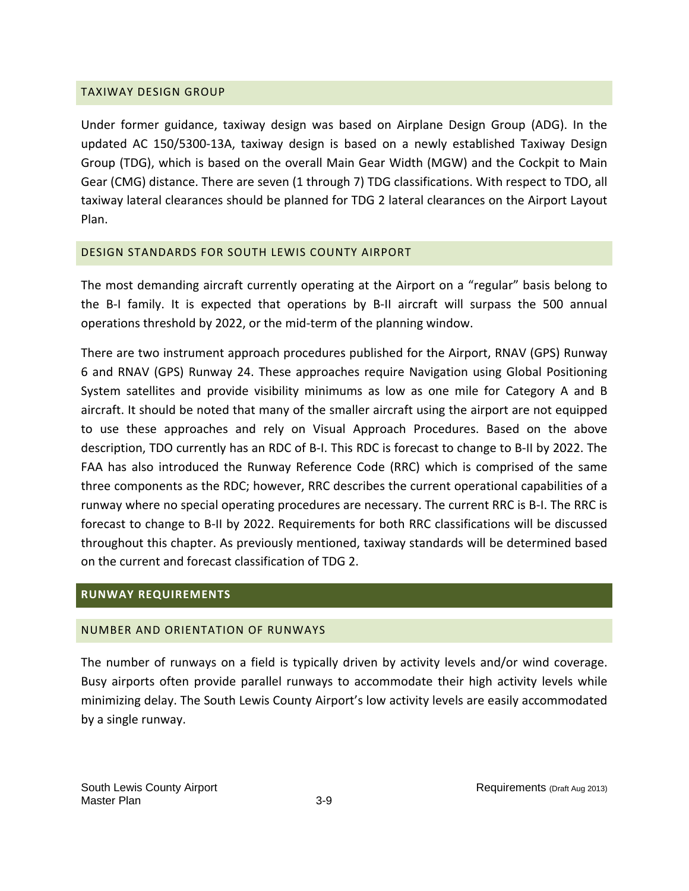## TAXIWAY DESIGN GROUP

Under former guidance, taxiway design was based on Airplane Design Group (ADG). In the updated AC 150/5300‐13A, taxiway design is based on a newly established Taxiway Design Group (TDG), which is based on the overall Main Gear Width (MGW) and the Cockpit to Main Gear (CMG) distance. There are seven (1 through 7) TDG classifications. With respect to TDO, all taxiway lateral clearances should be planned for TDG 2 lateral clearances on the Airport Layout Plan.

# DESIGN STANDARDS FOR SOUTH LEWIS COUNTY AIRPORT

The most demanding aircraft currently operating at the Airport on a "regular" basis belong to the B‐I family. It is expected that operations by B‐II aircraft will surpass the 500 annual operations threshold by 2022, or the mid‐term of the planning window.

There are two instrument approach procedures published for the Airport, RNAV (GPS) Runway 6 and RNAV (GPS) Runway 24. These approaches require Navigation using Global Positioning System satellites and provide visibility minimums as low as one mile for Category A and B aircraft. It should be noted that many of the smaller aircraft using the airport are not equipped to use these approaches and rely on Visual Approach Procedures. Based on the above description, TDO currently has an RDC of B‐I. This RDC is forecast to change to B‐II by 2022. The FAA has also introduced the Runway Reference Code (RRC) which is comprised of the same three components as the RDC; however, RRC describes the current operational capabilities of a runway where no special operating procedures are necessary. The current RRC is B‐I. The RRC is forecast to change to B‐II by 2022. Requirements for both RRC classifications will be discussed throughout this chapter. As previously mentioned, taxiway standards will be determined based on the current and forecast classification of TDG 2.

# **RUNWAY REQUIREMENTS**

# NUMBER AND ORIENTATION OF RUNWAYS

The number of runways on a field is typically driven by activity levels and/or wind coverage. Busy airports often provide parallel runways to accommodate their high activity levels while minimizing delay. The South Lewis County Airport's low activity levels are easily accommodated by a single runway.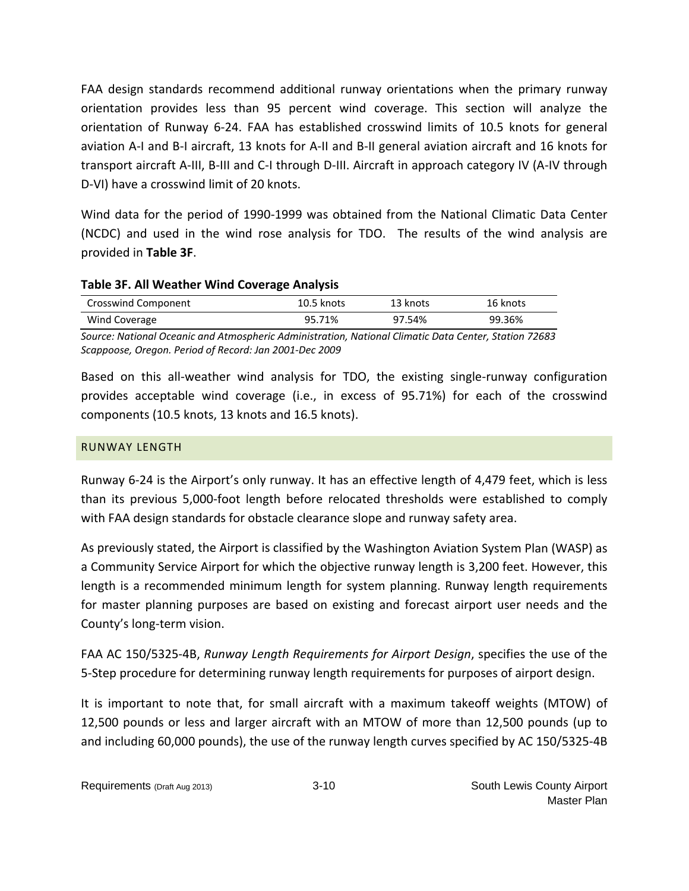FAA design standards recommend additional runway orientations when the primary runway orientation provides less than 95 percent wind coverage. This section will analyze the orientation of Runway 6‐24. FAA has established crosswind limits of 10.5 knots for general aviation A‐I and B‐I aircraft, 13 knots for A‐II and B‐II general aviation aircraft and 16 knots for transport aircraft A‐III, B‐III and C‐I through D‐III. Aircraft in approach category IV (A‐IV through D‐VI) have a crosswind limit of 20 knots.

Wind data for the period of 1990‐1999 was obtained from the National Climatic Data Center (NCDC) and used in the wind rose analysis for TDO. The results of the wind analysis are provided in **Table 3F**.

# **Table 3F. All Weather Wind Coverage Analysis**

| Crosswind Component | $10.5$ knots | 13 knots | 16 knots |
|---------------------|--------------|----------|----------|
| Wind Coverage       | 95.71%       | 97.54%   | 99.36%   |

*Source: National Oceanic and Atmospheric Administration, National Climatic Data Center, Station 72683 Scappoose, Oregon. Period of Record: Jan 2001‐Dec 2009*

Based on this all-weather wind analysis for TDO, the existing single-runway configuration provides acceptable wind coverage (i.e., in excess of 95.71%) for each of the crosswind components (10.5 knots, 13 knots and 16.5 knots).

# RUNWAY LENGTH

Runway 6‐24 is the Airport's only runway. It has an effective length of 4,479 feet, which is less than its previous 5,000‐foot length before relocated thresholds were established to comply with FAA design standards for obstacle clearance slope and runway safety area.

As previously stated, the Airport is classified by the Washington Aviation System Plan (WASP) as a Community Service Airport for which the objective runway length is 3,200 feet. However, this length is a recommended minimum length for system planning. Runway length requirements for master planning purposes are based on existing and forecast airport user needs and the County's long‐term vision.

FAA AC 150/5325‐4B, *Runway Length Requirements for Airport Design*, specifies the use of the 5‐Step procedure for determining runway length requirements for purposes of airport design.

It is important to note that, for small aircraft with a maximum takeoff weights (MTOW) of 12,500 pounds or less and larger aircraft with an MTOW of more than 12,500 pounds (up to and including 60,000 pounds), the use of the runway length curves specified by AC 150/5325‐4B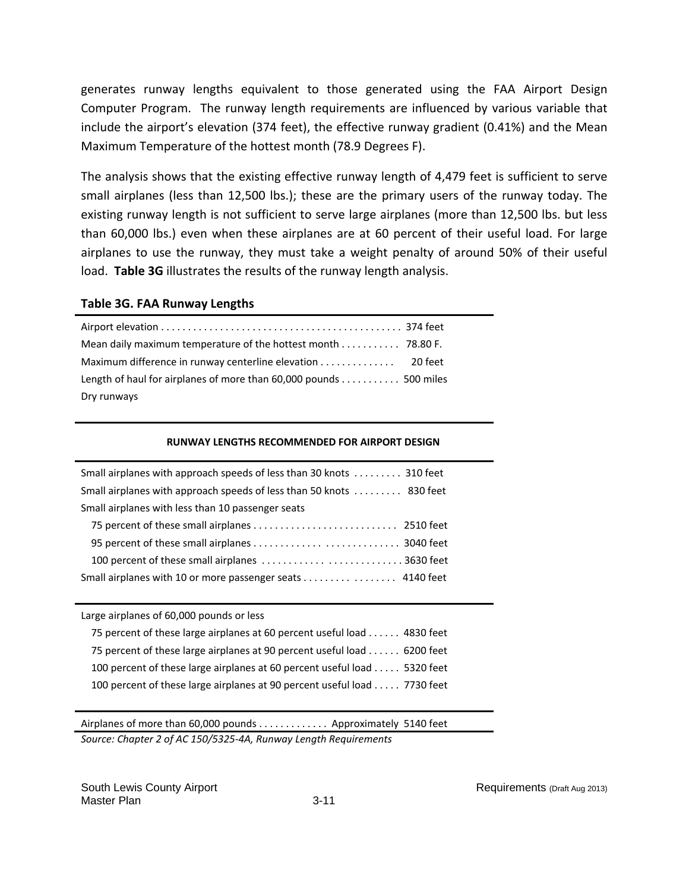generates runway lengths equivalent to those generated using the FAA Airport Design Computer Program. The runway length requirements are influenced by various variable that include the airport's elevation (374 feet), the effective runway gradient (0.41%) and the Mean Maximum Temperature of the hottest month (78.9 Degrees F).

The analysis shows that the existing effective runway length of 4,479 feet is sufficient to serve small airplanes (less than 12,500 lbs.); these are the primary users of the runway today. The existing runway length is not sufficient to serve large airplanes (more than 12,500 lbs. but less than 60,000 lbs.) even when these airplanes are at 60 percent of their useful load. For large airplanes to use the runway, they must take a weight penalty of around 50% of their useful load. **Table 3G** illustrates the results of the runway length analysis.

## **Table 3G. FAA Runway Lengths**

| Mean daily maximum temperature of the hottest month 78.80 F.      |  |
|-------------------------------------------------------------------|--|
| Maximum difference in runway centerline elevation 20 feet         |  |
| Length of haul for airplanes of more than 60,000 pounds 500 miles |  |
| Dry runways                                                       |  |

#### **RUNWAY LENGTHS RECOMMENDED FOR AIRPORT DESIGN**

| Small airplanes with approach speeds of less than 30 knots  310 feet |  |  |  |
|----------------------------------------------------------------------|--|--|--|
| Small airplanes with approach speeds of less than 50 knots  830 feet |  |  |  |
| Small airplanes with less than 10 passenger seats                    |  |  |  |
|                                                                      |  |  |  |
|                                                                      |  |  |  |
| 100 percent of these small airplanes 3630 feet                       |  |  |  |
| Small airplanes with 10 or more passenger seats 4140 feet            |  |  |  |

| Large airplanes of 60,000 pounds or less                                 |  |
|--------------------------------------------------------------------------|--|
| 75 percent of these large airplanes at 60 percent useful load 4830 feet  |  |
| 75 percent of these large airplanes at 90 percent useful load 6200 feet  |  |
| 100 percent of these large airplanes at 60 percent useful load 5320 feet |  |
| 100 percent of these large airplanes at 90 percent useful load 7730 feet |  |

Airplanes of more than 60,000 pounds . . . . . . . . . . . . . Approximately 5140 feet *Source: Chapter 2 of AC 150/5325‐4A, Runway Length Requirements*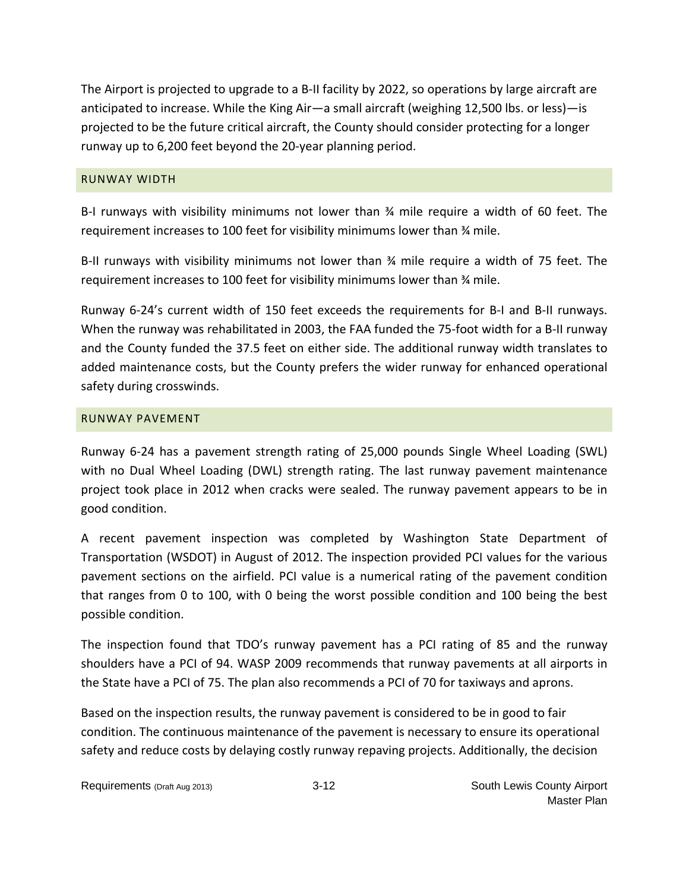The Airport is projected to upgrade to a B-II facility by 2022, so operations by large aircraft are anticipated to increase. While the King Air—a small aircraft (weighing 12,500 lbs. or less)—is projected to be the future critical aircraft, the County should consider protecting for a longer runway up to 6,200 feet beyond the 20‐year planning period.

## RUNWAY WIDTH

B-I runways with visibility minimums not lower than 34 mile require a width of 60 feet. The requirement increases to 100 feet for visibility minimums lower than ¾ mile.

B-II runways with visibility minimums not lower than 34 mile require a width of 75 feet. The requirement increases to 100 feet for visibility minimums lower than ¾ mile.

Runway 6‐24's current width of 150 feet exceeds the requirements for B‐I and B‐II runways. When the runway was rehabilitated in 2003, the FAA funded the 75‐foot width for a B‐II runway and the County funded the 37.5 feet on either side. The additional runway width translates to added maintenance costs, but the County prefers the wider runway for enhanced operational safety during crosswinds.

# RUNWAY PAVEMENT

Runway 6‐24 has a pavement strength rating of 25,000 pounds Single Wheel Loading (SWL) with no Dual Wheel Loading (DWL) strength rating. The last runway pavement maintenance project took place in 2012 when cracks were sealed. The runway pavement appears to be in good condition.

A recent pavement inspection was completed by Washington State Department of Transportation (WSDOT) in August of 2012. The inspection provided PCI values for the various pavement sections on the airfield. PCI value is a numerical rating of the pavement condition that ranges from 0 to 100, with 0 being the worst possible condition and 100 being the best possible condition.

The inspection found that TDO's runway pavement has a PCI rating of 85 and the runway shoulders have a PCI of 94. WASP 2009 recommends that runway pavements at all airports in the State have a PCI of 75. The plan also recommends a PCI of 70 for taxiways and aprons.

Based on the inspection results, the runway pavement is considered to be in good to fair condition. The continuous maintenance of the pavement is necessary to ensure its operational safety and reduce costs by delaying costly runway repaving projects. Additionally, the decision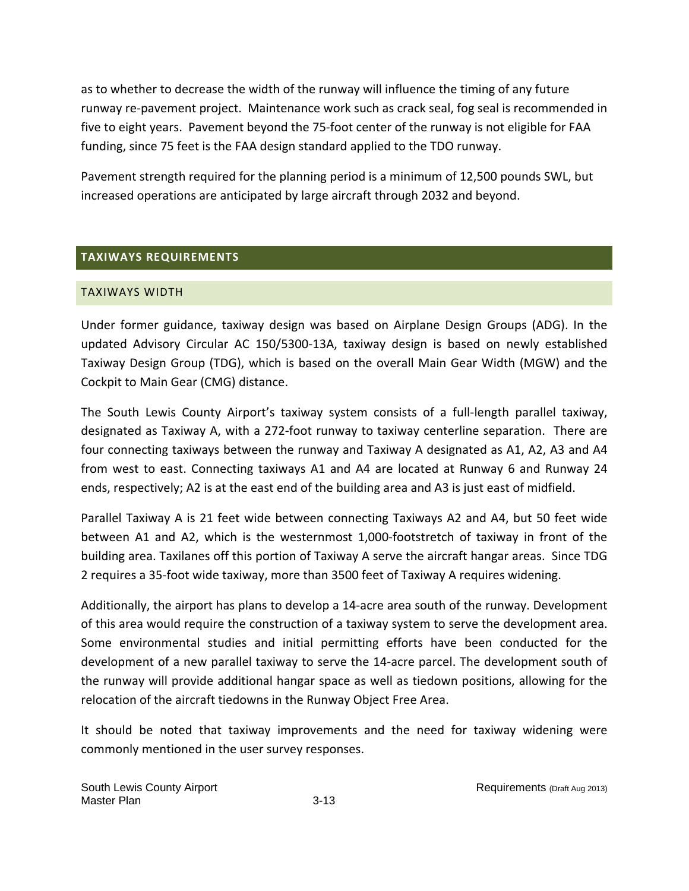as to whether to decrease the width of the runway will influence the timing of any future runway re‐pavement project. Maintenance work such as crack seal, fog seal is recommended in five to eight years. Pavement beyond the 75‐foot center of the runway is not eligible for FAA funding, since 75 feet is the FAA design standard applied to the TDO runway.

Pavement strength required for the planning period is a minimum of 12,500 pounds SWL, but increased operations are anticipated by large aircraft through 2032 and beyond.

# **TAXIWAYS REQUIREMENTS**

# TAXIWAYS WIDTH

Under former guidance, taxiway design was based on Airplane Design Groups (ADG). In the updated Advisory Circular AC 150/5300‐13A, taxiway design is based on newly established Taxiway Design Group (TDG), which is based on the overall Main Gear Width (MGW) and the Cockpit to Main Gear (CMG) distance.

The South Lewis County Airport's taxiway system consists of a full‐length parallel taxiway, designated as Taxiway A, with a 272‐foot runway to taxiway centerline separation. There are four connecting taxiways between the runway and Taxiway A designated as A1, A2, A3 and A4 from west to east. Connecting taxiways A1 and A4 are located at Runway 6 and Runway 24 ends, respectively; A2 is at the east end of the building area and A3 is just east of midfield.

Parallel Taxiway A is 21 feet wide between connecting Taxiways A2 and A4, but 50 feet wide between A1 and A2, which is the westernmost 1,000-footstretch of taxiway in front of the building area. Taxilanes off this portion of Taxiway A serve the aircraft hangar areas. Since TDG 2 requires a 35‐foot wide taxiway, more than 3500 feet of Taxiway A requires widening.

Additionally, the airport has plans to develop a 14‐acre area south of the runway. Development of this area would require the construction of a taxiway system to serve the development area. Some environmental studies and initial permitting efforts have been conducted for the development of a new parallel taxiway to serve the 14‐acre parcel. The development south of the runway will provide additional hangar space as well as tiedown positions, allowing for the relocation of the aircraft tiedowns in the Runway Object Free Area.

It should be noted that taxiway improvements and the need for taxiway widening were commonly mentioned in the user survey responses.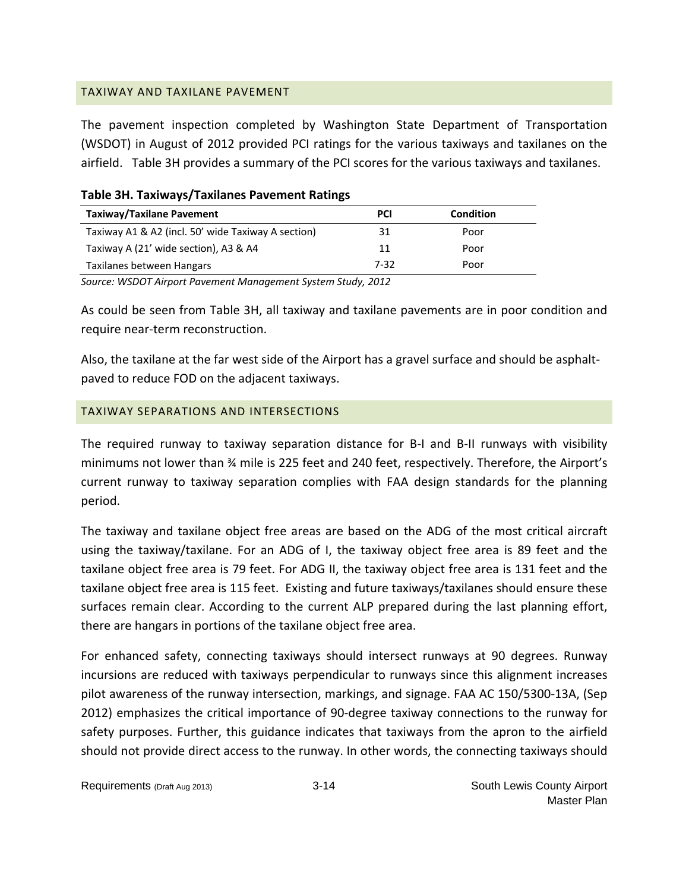## TAXIWAY AND TAXILANE PAVEMENT

The pavement inspection completed by Washington State Department of Transportation (WSDOT) in August of 2012 provided PCI ratings for the various taxiways and taxilanes on the airfield. Table 3H provides a summary of the PCI scores for the various taxiways and taxilanes.

| Table 3H. Taxiways/Taxilanes Pavement Ratings |            |           |
|-----------------------------------------------|------------|-----------|
| Taxiway/Taxilane Pavement                     | <b>PCI</b> | Condition |

| Taxiway/Taxilane Pavement                          | PCI  | Condition |  |
|----------------------------------------------------|------|-----------|--|
| Taxiway A1 & A2 (incl. 50' wide Taxiway A section) | 31   | Poor      |  |
| Taxiway A (21' wide section), A3 & A4              | 11   | Poor      |  |
| Taxilanes between Hangars                          | 7-32 | Poor      |  |

*Source: WSDOT Airport Pavement Management System Study, 2012*

As could be seen from Table 3H, all taxiway and taxilane pavements are in poor condition and require near‐term reconstruction.

Also, the taxilane at the far west side of the Airport has a gravel surface and should be asphalt‐ paved to reduce FOD on the adjacent taxiways.

# TAXIWAY SEPARATIONS AND INTERSECTIONS

The required runway to taxiway separation distance for B‐I and B‐II runways with visibility minimums not lower than ¾ mile is 225 feet and 240 feet, respectively. Therefore, the Airport's current runway to taxiway separation complies with FAA design standards for the planning period.

The taxiway and taxilane object free areas are based on the ADG of the most critical aircraft using the taxiway/taxilane. For an ADG of I, the taxiway object free area is 89 feet and the taxilane object free area is 79 feet. For ADG II, the taxiway object free area is 131 feet and the taxilane object free area is 115 feet. Existing and future taxiways/taxilanes should ensure these surfaces remain clear. According to the current ALP prepared during the last planning effort, there are hangars in portions of the taxilane object free area.

For enhanced safety, connecting taxiways should intersect runways at 90 degrees. Runway incursions are reduced with taxiways perpendicular to runways since this alignment increases pilot awareness of the runway intersection, markings, and signage. FAA AC 150/5300‐13A, (Sep 2012) emphasizes the critical importance of 90‐degree taxiway connections to the runway for safety purposes. Further, this guidance indicates that taxiways from the apron to the airfield should not provide direct access to the runway. In other words, the connecting taxiways should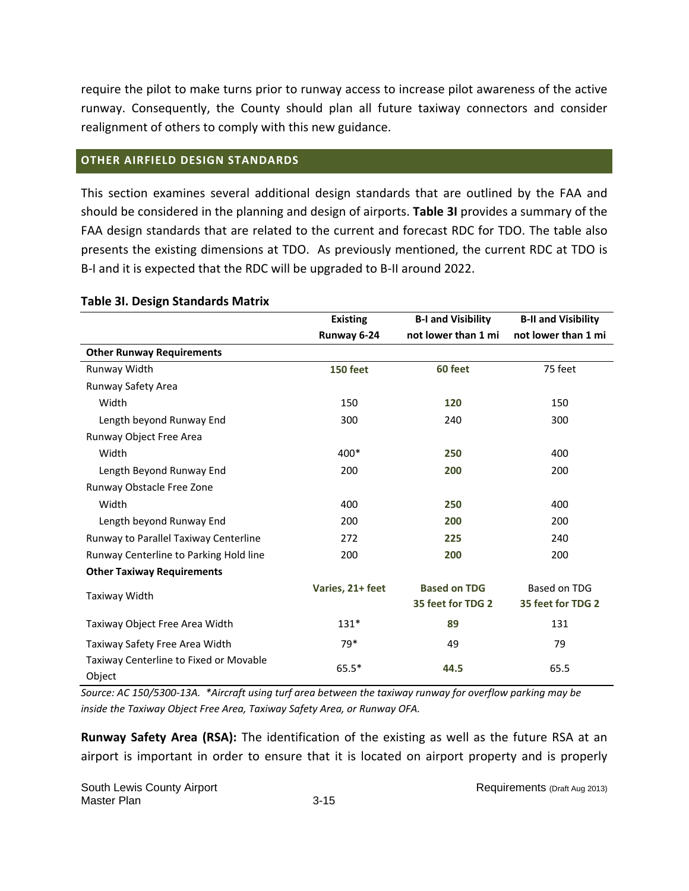require the pilot to make turns prior to runway access to increase pilot awareness of the active runway. Consequently, the County should plan all future taxiway connectors and consider realignment of others to comply with this new guidance.

## **OTHER AIRFIELD DESIGN STANDARDS**

This section examines several additional design standards that are outlined by the FAA and should be considered in the planning and design of airports. **Table 3I** provides a summary of the FAA design standards that are related to the current and forecast RDC for TDO. The table also presents the existing dimensions at TDO. As previously mentioned, the current RDC at TDO is B‐I and it is expected that the RDC will be upgraded to B‐II around 2022.

|                                                  | <b>Existing</b>  | <b>B-I and Visibility</b> | <b>B-II and Visibility</b> |
|--------------------------------------------------|------------------|---------------------------|----------------------------|
|                                                  | Runway 6-24      | not lower than 1 mi       | not lower than 1 mi        |
| <b>Other Runway Requirements</b>                 |                  |                           |                            |
| Runway Width                                     | <b>150 feet</b>  | 60 feet                   | 75 feet                    |
| Runway Safety Area                               |                  |                           |                            |
| Width                                            | 150              | 120                       | 150                        |
| Length beyond Runway End                         | 300              | 240                       | 300                        |
| Runway Object Free Area                          |                  |                           |                            |
| Width                                            | 400*             | 250                       | 400                        |
| Length Beyond Runway End                         | 200              | 200                       | 200                        |
| Runway Obstacle Free Zone                        |                  |                           |                            |
| Width                                            | 400              | 250                       | 400                        |
| Length beyond Runway End                         | 200              | 200                       | 200                        |
| Runway to Parallel Taxiway Centerline            | 272              | 225                       | 240                        |
| Runway Centerline to Parking Hold line           | 200              | 200                       | 200                        |
| <b>Other Taxiway Requirements</b>                |                  |                           |                            |
| Taxiway Width                                    | Varies, 21+ feet | <b>Based on TDG</b>       | Based on TDG               |
|                                                  |                  | 35 feet for TDG 2         | 35 feet for TDG 2          |
| Taxiway Object Free Area Width                   | $131*$           | 89                        | 131                        |
| Taxiway Safety Free Area Width                   | 79*              | 49                        | 79                         |
| Taxiway Centerline to Fixed or Movable<br>Object | $65.5*$          | 44.5                      | 65.5                       |

#### **Table 3I. Design Standards Matrix**

Source: AC 150/5300-13A. \*Aircraft using turf area between the taxiway runway for overflow parking may be *inside the Taxiway Object Free Area, Taxiway Safety Area, or Runway OFA.*

**Runway Safety Area (RSA):** The identification of the existing as well as the future RSA at an airport is important in order to ensure that it is located on airport property and is properly

South Lewis County Airport **Requirements (Draft Aug 2013)** Requirements (Draft Aug 2013) Master Plan 3-15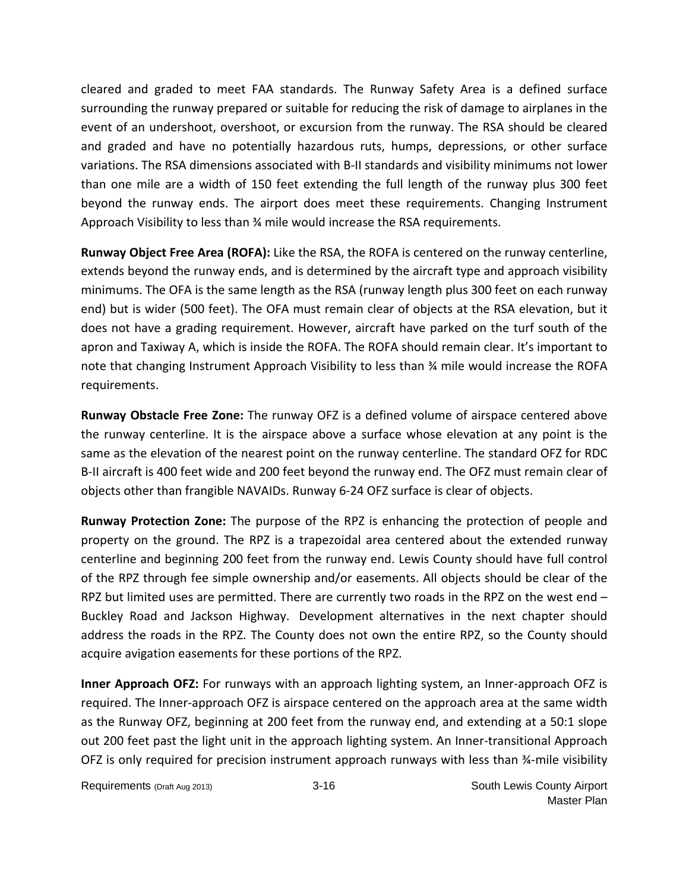cleared and graded to meet FAA standards. The Runway Safety Area is a defined surface surrounding the runway prepared or suitable for reducing the risk of damage to airplanes in the event of an undershoot, overshoot, or excursion from the runway. The RSA should be cleared and graded and have no potentially hazardous ruts, humps, depressions, or other surface variations. The RSA dimensions associated with B‐II standards and visibility minimums not lower than one mile are a width of 150 feet extending the full length of the runway plus 300 feet beyond the runway ends. The airport does meet these requirements. Changing Instrument Approach Visibility to less than ¾ mile would increase the RSA requirements.

**Runway Object Free Area (ROFA):** Like the RSA, the ROFA is centered on the runway centerline, extends beyond the runway ends, and is determined by the aircraft type and approach visibility minimums. The OFA is the same length as the RSA (runway length plus 300 feet on each runway end) but is wider (500 feet). The OFA must remain clear of objects at the RSA elevation, but it does not have a grading requirement. However, aircraft have parked on the turf south of the apron and Taxiway A, which is inside the ROFA. The ROFA should remain clear. It's important to note that changing Instrument Approach Visibility to less than % mile would increase the ROFA requirements.

**Runway Obstacle Free Zone:** The runway OFZ is a defined volume of airspace centered above the runway centerline. It is the airspace above a surface whose elevation at any point is the same as the elevation of the nearest point on the runway centerline. The standard OFZ for RDC B‐II aircraft is 400 feet wide and 200 feet beyond the runway end. The OFZ must remain clear of objects other than frangible NAVAIDs. Runway 6‐24 OFZ surface is clear of objects.

**Runway Protection Zone:** The purpose of the RPZ is enhancing the protection of people and property on the ground. The RPZ is a trapezoidal area centered about the extended runway centerline and beginning 200 feet from the runway end. Lewis County should have full control of the RPZ through fee simple ownership and/or easements. All objects should be clear of the RPZ but limited uses are permitted. There are currently two roads in the RPZ on the west end – Buckley Road and Jackson Highway. Development alternatives in the next chapter should address the roads in the RPZ. The County does not own the entire RPZ, so the County should acquire avigation easements for these portions of the RPZ.

**Inner Approach OFZ:** For runways with an approach lighting system, an Inner‐approach OFZ is required. The Inner‐approach OFZ is airspace centered on the approach area at the same width as the Runway OFZ, beginning at 200 feet from the runway end, and extending at a 50:1 slope out 200 feet past the light unit in the approach lighting system. An Inner‐transitional Approach OFZ is only required for precision instrument approach runways with less than ¾-mile visibility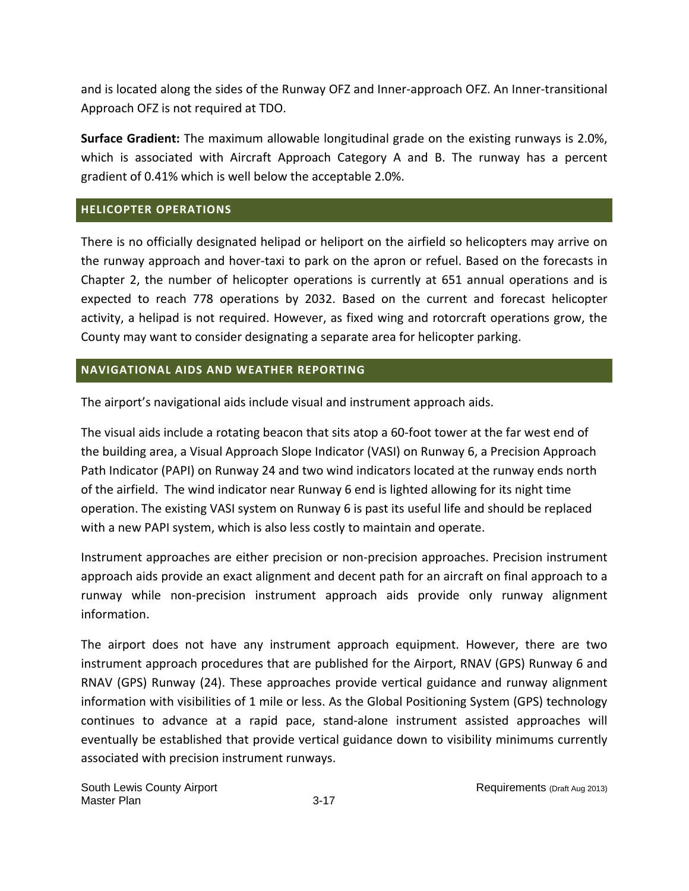and is located along the sides of the Runway OFZ and Inner‐approach OFZ. An Inner‐transitional Approach OFZ is not required at TDO.

**Surface Gradient:** The maximum allowable longitudinal grade on the existing runways is 2.0%, which is associated with Aircraft Approach Category A and B. The runway has a percent gradient of 0.41% which is well below the acceptable 2.0%.

# **HELICOPTER OPERATIONS**

There is no officially designated helipad or heliport on the airfield so helicopters may arrive on the runway approach and hover‐taxi to park on the apron or refuel. Based on the forecasts in Chapter 2, the number of helicopter operations is currently at 651 annual operations and is expected to reach 778 operations by 2032. Based on the current and forecast helicopter activity, a helipad is not required. However, as fixed wing and rotorcraft operations grow, the County may want to consider designating a separate area for helicopter parking.

# **NAVIGATIONAL AIDS AND WEATHER REPORTING**

The airport's navigational aids include visual and instrument approach aids.

The visual aids include a rotating beacon that sits atop a 60‐foot tower at the far west end of the building area, a Visual Approach Slope Indicator (VASI) on Runway 6, a Precision Approach Path Indicator (PAPI) on Runway 24 and two wind indicators located at the runway ends north of the airfield. The wind indicator near Runway 6 end is lighted allowing for its night time operation. The existing VASI system on Runway 6 is past its useful life and should be replaced with a new PAPI system, which is also less costly to maintain and operate.

Instrument approaches are either precision or non‐precision approaches. Precision instrument approach aids provide an exact alignment and decent path for an aircraft on final approach to a runway while non‐precision instrument approach aids provide only runway alignment information.

The airport does not have any instrument approach equipment. However, there are two instrument approach procedures that are published for the Airport, RNAV (GPS) Runway 6 and RNAV (GPS) Runway (24). These approaches provide vertical guidance and runway alignment information with visibilities of 1 mile or less. As the Global Positioning System (GPS) technology continues to advance at a rapid pace, stand‐alone instrument assisted approaches will eventually be established that provide vertical guidance down to visibility minimums currently associated with precision instrument runways.

South Lewis County Airport **Repairing County Airport** Requirements (Draft Aug 2013) Master Plan 3-17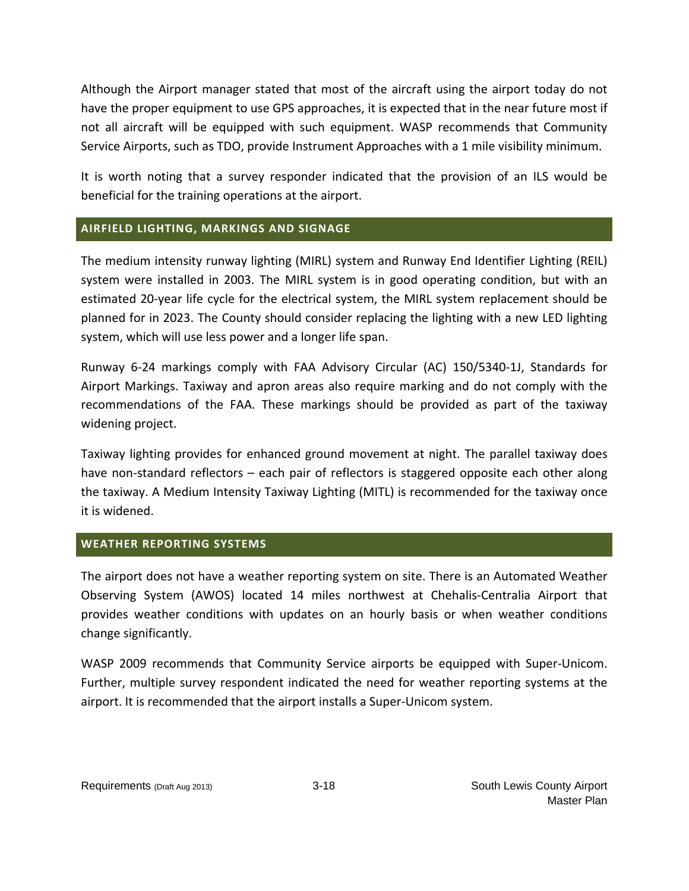Although the Airport manager stated that most of the aircraft using the airport today do not have the proper equipment to use GPS approaches, it is expected that in the near future most if not all aircraft will be equipped with such equipment. WASP recommends that Community Service Airports, such as TDO, provide Instrument Approaches with a 1 mile visibility minimum.

It is worth noting that a survey responder indicated that the provision of an ILS would be beneficial for the training operations at the airport.

# **AIRFIELD LIGHTING, MARKINGS AND SIGNAGE**

The medium intensity runway lighting (MIRL) system and Runway End Identifier Lighting (REIL) system were installed in 2003. The MIRL system is in good operating condition, but with an estimated 20‐year life cycle for the electrical system, the MIRL system replacement should be planned for in 2023. The County should consider replacing the lighting with a new LED lighting system, which will use less power and a longer life span.

Runway 6‐24 markings comply with FAA Advisory Circular (AC) 150/5340‐1J, Standards for Airport Markings. Taxiway and apron areas also require marking and do not comply with the recommendations of the FAA. These markings should be provided as part of the taxiway widening project.

Taxiway lighting provides for enhanced ground movement at night. The parallel taxiway does have non-standard reflectors – each pair of reflectors is staggered opposite each other along the taxiway. A Medium Intensity Taxiway Lighting (MITL) is recommended for the taxiway once it is widened.

# **WEATHER REPORTING SYSTEMS**

The airport does not have a weather reporting system on site. There is an Automated Weather Observing System (AWOS) located 14 miles northwest at Chehalis‐Centralia Airport that provides weather conditions with updates on an hourly basis or when weather conditions change significantly.

WASP 2009 recommends that Community Service airports be equipped with Super‐Unicom. Further, multiple survey respondent indicated the need for weather reporting systems at the airport. It is recommended that the airport installs a Super‐Unicom system.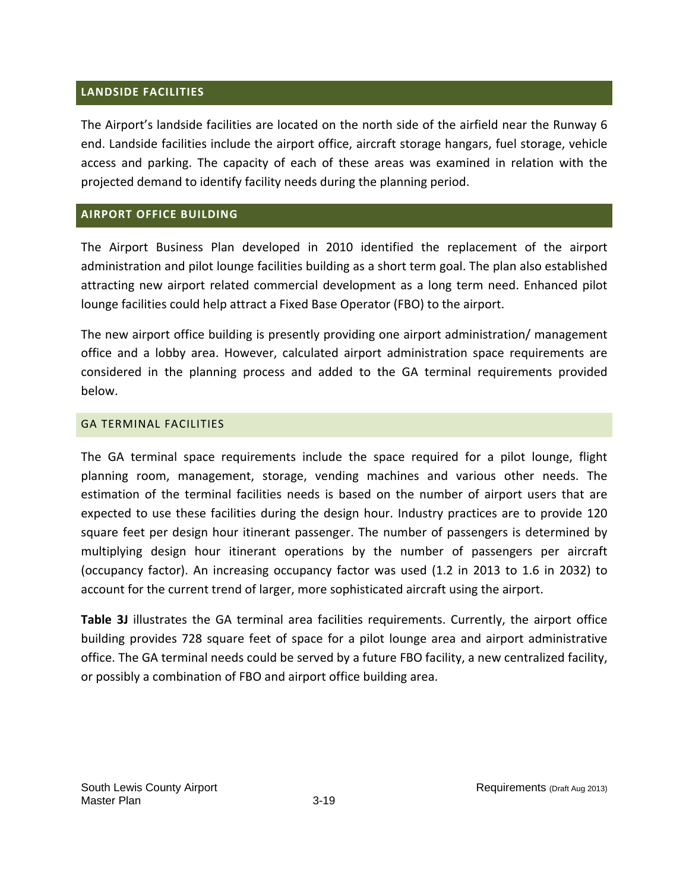## **LANDSIDE FACILITIES**

The Airport's landside facilities are located on the north side of the airfield near the Runway 6 end. Landside facilities include the airport office, aircraft storage hangars, fuel storage, vehicle access and parking. The capacity of each of these areas was examined in relation with the projected demand to identify facility needs during the planning period.

## **AIRPORT OFFICE BUILDING**

The Airport Business Plan developed in 2010 identified the replacement of the airport administration and pilot lounge facilities building as a short term goal. The plan also established attracting new airport related commercial development as a long term need. Enhanced pilot lounge facilities could help attract a Fixed Base Operator (FBO) to the airport.

The new airport office building is presently providing one airport administration/ management office and a lobby area. However, calculated airport administration space requirements are considered in the planning process and added to the GA terminal requirements provided below.

## GA TERMINAL FACILITIES

The GA terminal space requirements include the space required for a pilot lounge, flight planning room, management, storage, vending machines and various other needs. The estimation of the terminal facilities needs is based on the number of airport users that are expected to use these facilities during the design hour. Industry practices are to provide 120 square feet per design hour itinerant passenger. The number of passengers is determined by multiplying design hour itinerant operations by the number of passengers per aircraft (occupancy factor). An increasing occupancy factor was used (1.2 in 2013 to 1.6 in 2032) to account for the current trend of larger, more sophisticated aircraft using the airport.

**Table 3J** illustrates the GA terminal area facilities requirements. Currently, the airport office building provides 728 square feet of space for a pilot lounge area and airport administrative office. The GA terminal needs could be served by a future FBO facility, a new centralized facility, or possibly a combination of FBO and airport office building area.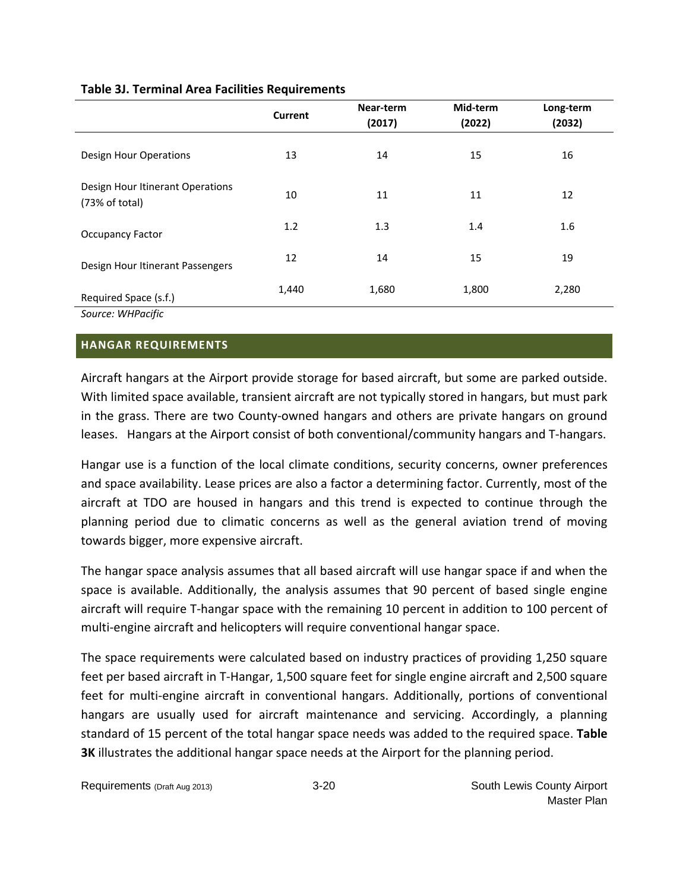|                                                    | <b>Current</b> | Near-term<br>(2017) | Mid-term<br>(2022) | Long-term<br>(2032) |
|----------------------------------------------------|----------------|---------------------|--------------------|---------------------|
| Design Hour Operations                             | 13             | 14                  | 15                 | 16                  |
| Design Hour Itinerant Operations<br>(73% of total) | 10             | 11                  | 11                 | 12                  |
| <b>Occupancy Factor</b>                            | 1.2            | 1.3                 | 1.4                | 1.6                 |
| Design Hour Itinerant Passengers                   | 12             | 14                  | 15                 | 19                  |
| Required Space (s.f.)                              | 1,440          | 1,680               | 1,800              | 2,280               |
| Source: WHPacific                                  |                |                     |                    |                     |

## **HANGAR REQUIREMENTS**

Aircraft hangars at the Airport provide storage for based aircraft, but some are parked outside. With limited space available, transient aircraft are not typically stored in hangars, but must park in the grass. There are two County‐owned hangars and others are private hangars on ground leases. Hangars at the Airport consist of both conventional/community hangars and T-hangars.

Hangar use is a function of the local climate conditions, security concerns, owner preferences and space availability. Lease prices are also a factor a determining factor. Currently, most of the aircraft at TDO are housed in hangars and this trend is expected to continue through the planning period due to climatic concerns as well as the general aviation trend of moving towards bigger, more expensive aircraft.

The hangar space analysis assumes that all based aircraft will use hangar space if and when the space is available. Additionally, the analysis assumes that 90 percent of based single engine aircraft will require T-hangar space with the remaining 10 percent in addition to 100 percent of multi-engine aircraft and helicopters will require conventional hangar space.

The space requirements were calculated based on industry practices of providing 1,250 square feet per based aircraft in T‐Hangar, 1,500 square feet for single engine aircraft and 2,500 square feet for multi-engine aircraft in conventional hangars. Additionally, portions of conventional hangars are usually used for aircraft maintenance and servicing. Accordingly, a planning standard of 15 percent of the total hangar space needs was added to the required space. **Table 3K** illustrates the additional hangar space needs at the Airport for the planning period.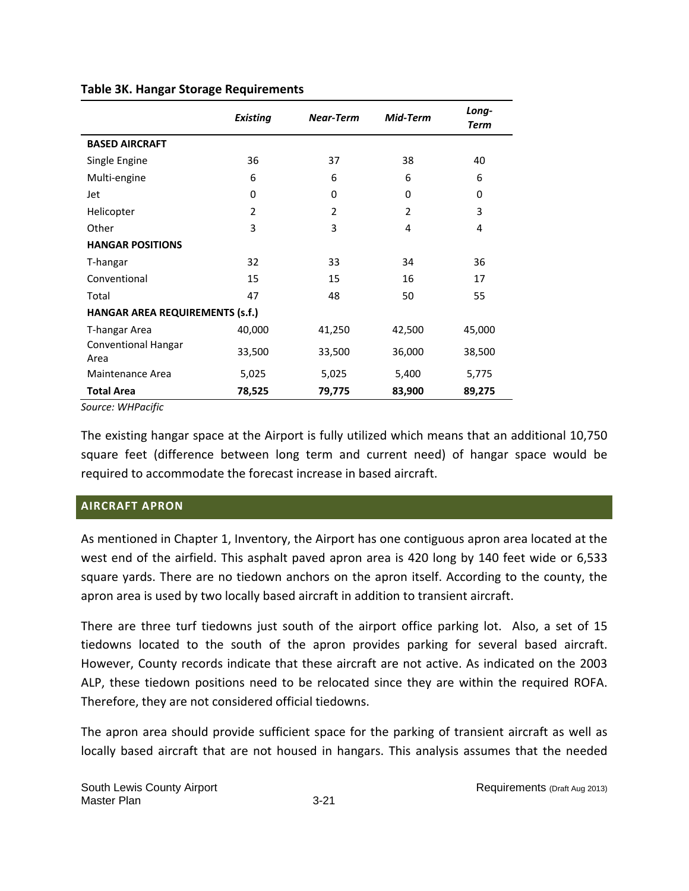|                                 | <b>Existing</b> | Near-Term | Mid-Term | Long-<br><b>Term</b> |  |  |  |
|---------------------------------|-----------------|-----------|----------|----------------------|--|--|--|
| <b>BASED AIRCRAFT</b>           |                 |           |          |                      |  |  |  |
| Single Engine                   | 36              | 37        | 38       | 40                   |  |  |  |
| Multi-engine                    | 6               | 6         | 6        | 6                    |  |  |  |
| Jet                             | 0               | 0         | 0        | 0                    |  |  |  |
| Helicopter                      | $\mathfrak{p}$  | 2         | 2        | 3                    |  |  |  |
| Other                           | 3               | 3         | 4        | 4                    |  |  |  |
| <b>HANGAR POSITIONS</b>         |                 |           |          |                      |  |  |  |
| T-hangar                        | 32              | 33        | 34       | 36                   |  |  |  |
| Conventional                    | 15              | 15        | 16       | 17                   |  |  |  |
| Total                           | 47              | 48        | 50       | 55                   |  |  |  |
| HANGAR AREA REQUIREMENTS (s.f.) |                 |           |          |                      |  |  |  |
| T-hangar Area                   | 40,000          | 41,250    | 42,500   | 45,000               |  |  |  |
| Conventional Hangar<br>Area     | 33,500          | 33,500    | 36,000   | 38,500               |  |  |  |
| Maintenance Area                | 5,025           | 5,025     | 5,400    | 5,775                |  |  |  |
| <b>Total Area</b>               | 78,525          | 79,775    | 83,900   | 89,275               |  |  |  |

## **Table 3K. Hangar Storage Requirements**

*Source: WHPacific*

The existing hangar space at the Airport is fully utilized which means that an additional 10,750 square feet (difference between long term and current need) of hangar space would be required to accommodate the forecast increase in based aircraft.

# **AIRCRAFT APRON**

As mentioned in Chapter 1, Inventory, the Airport has one contiguous apron area located at the west end of the airfield. This asphalt paved apron area is 420 long by 140 feet wide or 6,533 square yards. There are no tiedown anchors on the apron itself. According to the county, the apron area is used by two locally based aircraft in addition to transient aircraft.

There are three turf tiedowns just south of the airport office parking lot. Also, a set of 15 tiedowns located to the south of the apron provides parking for several based aircraft. However, County records indicate that these aircraft are not active. As indicated on the 2003 ALP, these tiedown positions need to be relocated since they are within the required ROFA. Therefore, they are not considered official tiedowns.

The apron area should provide sufficient space for the parking of transient aircraft as well as locally based aircraft that are not housed in hangars. This analysis assumes that the needed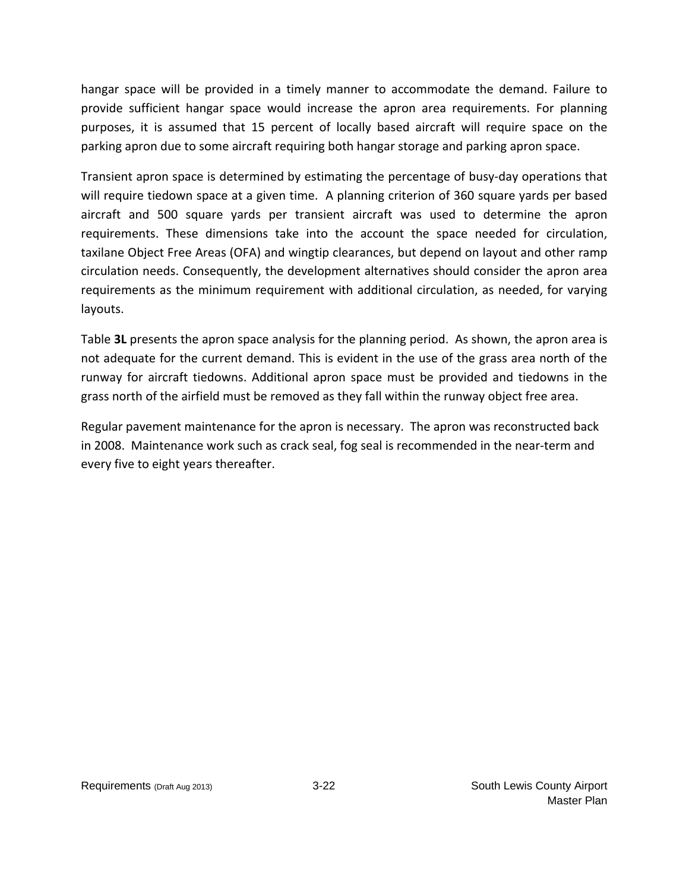hangar space will be provided in a timely manner to accommodate the demand. Failure to provide sufficient hangar space would increase the apron area requirements. For planning purposes, it is assumed that 15 percent of locally based aircraft will require space on the parking apron due to some aircraft requiring both hangar storage and parking apron space.

Transient apron space is determined by estimating the percentage of busy-day operations that will require tiedown space at a given time. A planning criterion of 360 square yards per based aircraft and 500 square yards per transient aircraft was used to determine the apron requirements. These dimensions take into the account the space needed for circulation, taxilane Object Free Areas (OFA) and wingtip clearances, but depend on layout and other ramp circulation needs. Consequently, the development alternatives should consider the apron area requirements as the minimum requirement with additional circulation, as needed, for varying layouts.

Table **3L** presents the apron space analysis for the planning period. As shown, the apron area is not adequate for the current demand. This is evident in the use of the grass area north of the runway for aircraft tiedowns. Additional apron space must be provided and tiedowns in the grass north of the airfield must be removed as they fall within the runway object free area.

Regular pavement maintenance for the apron is necessary. The apron was reconstructed back in 2008. Maintenance work such as crack seal, fog seal is recommended in the near-term and every five to eight years thereafter.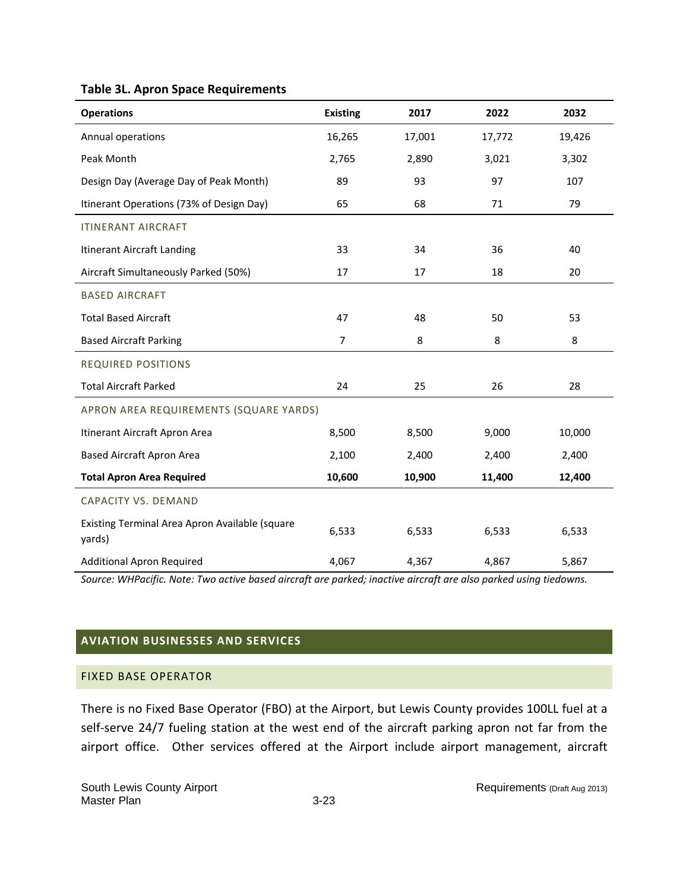|  |  |  |  | <b>Table 3L. Apron Space Requirements</b> |
|--|--|--|--|-------------------------------------------|
|--|--|--|--|-------------------------------------------|

| <b>Operations</b>                                        | <b>Existing</b> | 2017   | 2022   | 2032   |
|----------------------------------------------------------|-----------------|--------|--------|--------|
| Annual operations                                        | 16,265          | 17,001 | 17,772 | 19,426 |
| Peak Month                                               | 2,765           | 2,890  | 3,021  | 3,302  |
| Design Day (Average Day of Peak Month)                   | 89              | 93     | 97     | 107    |
| Itinerant Operations (73% of Design Day)                 | 65              | 68     | 71     | 79     |
| <b>ITINERANT AIRCRAFT</b>                                |                 |        |        |        |
| Itinerant Aircraft Landing                               | 33              | 34     | 36     | 40     |
| Aircraft Simultaneously Parked (50%)                     | 17              | 17     | 18     | 20     |
| <b>BASED AIRCRAFT</b>                                    |                 |        |        |        |
| <b>Total Based Aircraft</b>                              | 47              | 48     | 50     | 53     |
| <b>Based Aircraft Parking</b>                            | 7               | 8      | 8      | 8      |
| <b>REQUIRED POSITIONS</b>                                |                 |        |        |        |
| <b>Total Aircraft Parked</b>                             | 24              | 25     | 26     | 28     |
| APRON AREA REQUIREMENTS (SQUARE YARDS)                   |                 |        |        |        |
| Itinerant Aircraft Apron Area                            | 8,500           | 8,500  | 9,000  | 10,000 |
| <b>Based Aircraft Apron Area</b>                         | 2,100           | 2,400  | 2,400  | 2,400  |
| <b>Total Apron Area Required</b>                         | 10,600          | 10,900 | 11,400 | 12,400 |
| <b>CAPACITY VS. DEMAND</b>                               |                 |        |        |        |
| Existing Terminal Area Apron Available (square<br>yards) | 6,533           | 6,533  | 6,533  | 6,533  |
| <b>Additional Apron Required</b>                         | 4,067           | 4,367  | 4,867  | 5,867  |

*Source: WHPacific. Note: Two active based aircraft are parked; inactive aircraft are also parked using tiedowns.*

# **AVIATION BUSINESSES AND SERVICES**

## FIXED BASE OPERATOR

There is no Fixed Base Operator (FBO) at the Airport, but Lewis County provides 100LL fuel at a self-serve 24/7 fueling station at the west end of the aircraft parking apron not far from the airport office. Other services offered at the Airport include airport management, aircraft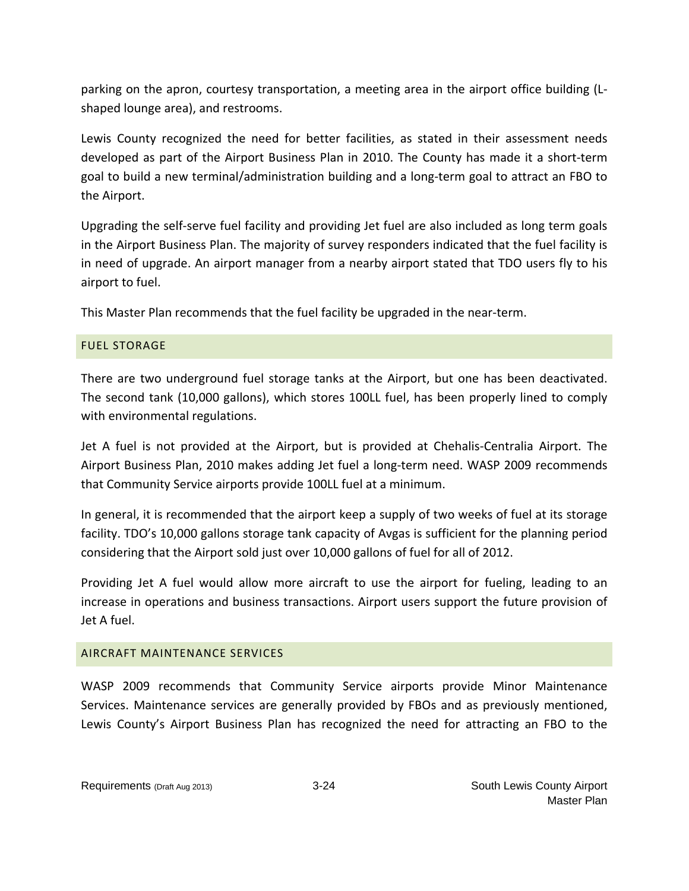parking on the apron, courtesy transportation, a meeting area in the airport office building (L‐ shaped lounge area), and restrooms.

Lewis County recognized the need for better facilities, as stated in their assessment needs developed as part of the Airport Business Plan in 2010. The County has made it a short-term goal to build a new terminal/administration building and a long‐term goal to attract an FBO to the Airport.

Upgrading the self‐serve fuel facility and providing Jet fuel are also included as long term goals in the Airport Business Plan. The majority of survey responders indicated that the fuel facility is in need of upgrade. An airport manager from a nearby airport stated that TDO users fly to his airport to fuel.

This Master Plan recommends that the fuel facility be upgraded in the near‐term.

# FUEL STORAGE

There are two underground fuel storage tanks at the Airport, but one has been deactivated. The second tank (10,000 gallons), which stores 100LL fuel, has been properly lined to comply with environmental regulations.

Jet A fuel is not provided at the Airport, but is provided at Chehalis‐Centralia Airport. The Airport Business Plan, 2010 makes adding Jet fuel a long‐term need. WASP 2009 recommends that Community Service airports provide 100LL fuel at a minimum.

In general, it is recommended that the airport keep a supply of two weeks of fuel at its storage facility. TDO's 10,000 gallons storage tank capacity of Avgas is sufficient for the planning period considering that the Airport sold just over 10,000 gallons of fuel for all of 2012.

Providing Jet A fuel would allow more aircraft to use the airport for fueling, leading to an increase in operations and business transactions. Airport users support the future provision of Jet A fuel.

# AIRCRAFT MAINTENANCE SERVICES

WASP 2009 recommends that Community Service airports provide Minor Maintenance Services. Maintenance services are generally provided by FBOs and as previously mentioned, Lewis County's Airport Business Plan has recognized the need for attracting an FBO to the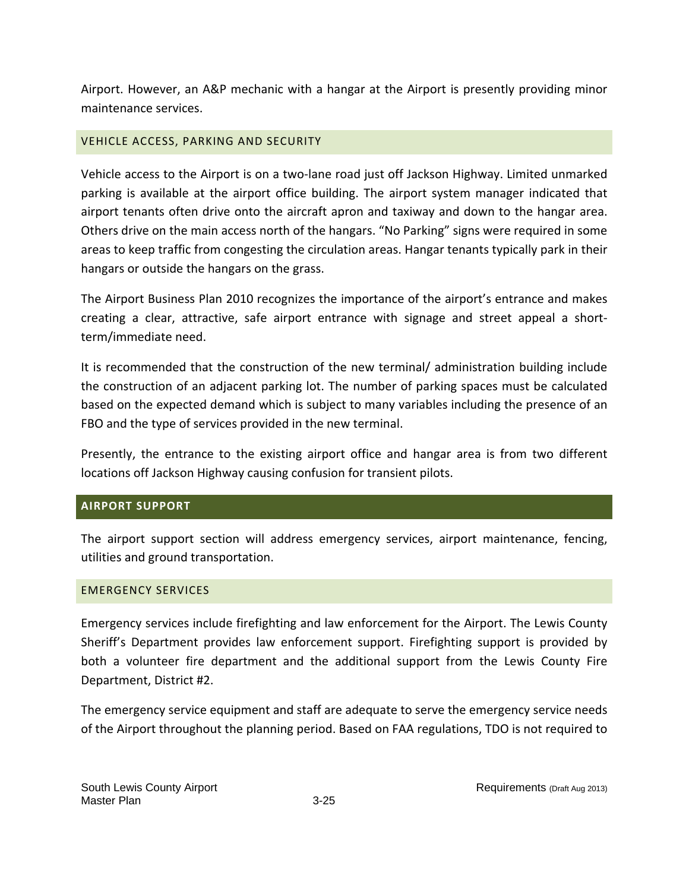Airport. However, an A&P mechanic with a hangar at the Airport is presently providing minor maintenance services.

# VEHICLE ACCESS, PARKING AND SECURITY

Vehicle access to the Airport is on a two-lane road just off Jackson Highway. Limited unmarked parking is available at the airport office building. The airport system manager indicated that airport tenants often drive onto the aircraft apron and taxiway and down to the hangar area. Others drive on the main access north of the hangars. "No Parking" signs were required in some areas to keep traffic from congesting the circulation areas. Hangar tenants typically park in their hangars or outside the hangars on the grass.

The Airport Business Plan 2010 recognizes the importance of the airport's entrance and makes creating a clear, attractive, safe airport entrance with signage and street appeal a short‐ term/immediate need.

It is recommended that the construction of the new terminal/ administration building include the construction of an adjacent parking lot. The number of parking spaces must be calculated based on the expected demand which is subject to many variables including the presence of an FBO and the type of services provided in the new terminal.

Presently, the entrance to the existing airport office and hangar area is from two different locations off Jackson Highway causing confusion for transient pilots.

# **AIRPORT SUPPORT**

The airport support section will address emergency services, airport maintenance, fencing, utilities and ground transportation.

# EMERGENCY SERVICES

Emergency services include firefighting and law enforcement for the Airport. The Lewis County Sheriff's Department provides law enforcement support. Firefighting support is provided by both a volunteer fire department and the additional support from the Lewis County Fire Department, District #2.

The emergency service equipment and staff are adequate to serve the emergency service needs of the Airport throughout the planning period. Based on FAA regulations, TDO is not required to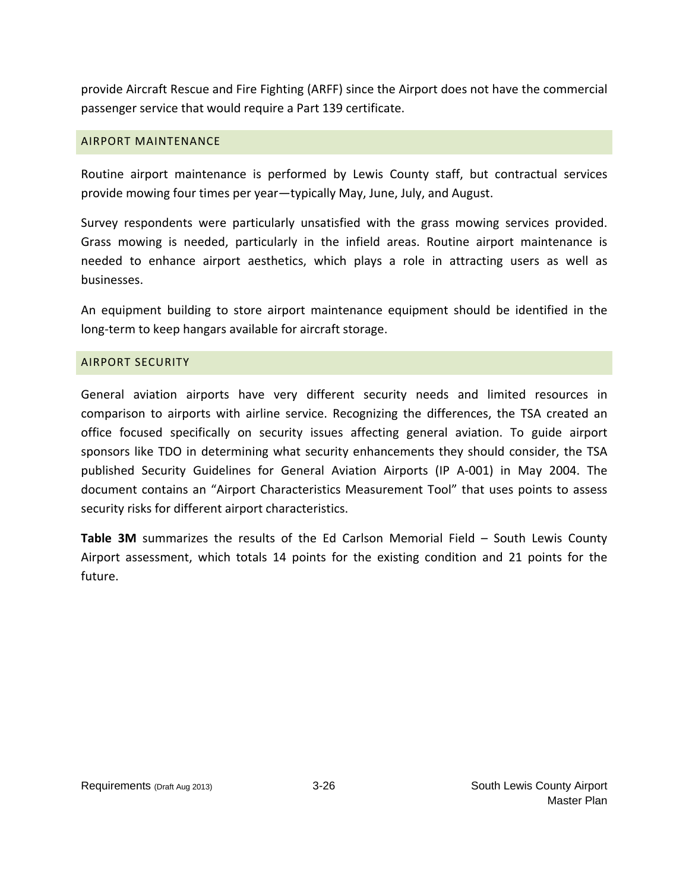provide Aircraft Rescue and Fire Fighting (ARFF) since the Airport does not have the commercial passenger service that would require a Part 139 certificate.

## AIRPORT MAINTENANCE

Routine airport maintenance is performed by Lewis County staff, but contractual services provide mowing four times per year—typically May, June, July, and August.

Survey respondents were particularly unsatisfied with the grass mowing services provided. Grass mowing is needed, particularly in the infield areas. Routine airport maintenance is needed to enhance airport aesthetics, which plays a role in attracting users as well as businesses.

An equipment building to store airport maintenance equipment should be identified in the long‐term to keep hangars available for aircraft storage.

## AIRPORT SECURITY

General aviation airports have very different security needs and limited resources in comparison to airports with airline service. Recognizing the differences, the TSA created an office focused specifically on security issues affecting general aviation. To guide airport sponsors like TDO in determining what security enhancements they should consider, the TSA published Security Guidelines for General Aviation Airports (IP A‐001) in May 2004. The document contains an "Airport Characteristics Measurement Tool" that uses points to assess security risks for different airport characteristics.

**Table 3M** summarizes the results of the Ed Carlson Memorial Field – South Lewis County Airport assessment, which totals 14 points for the existing condition and 21 points for the future.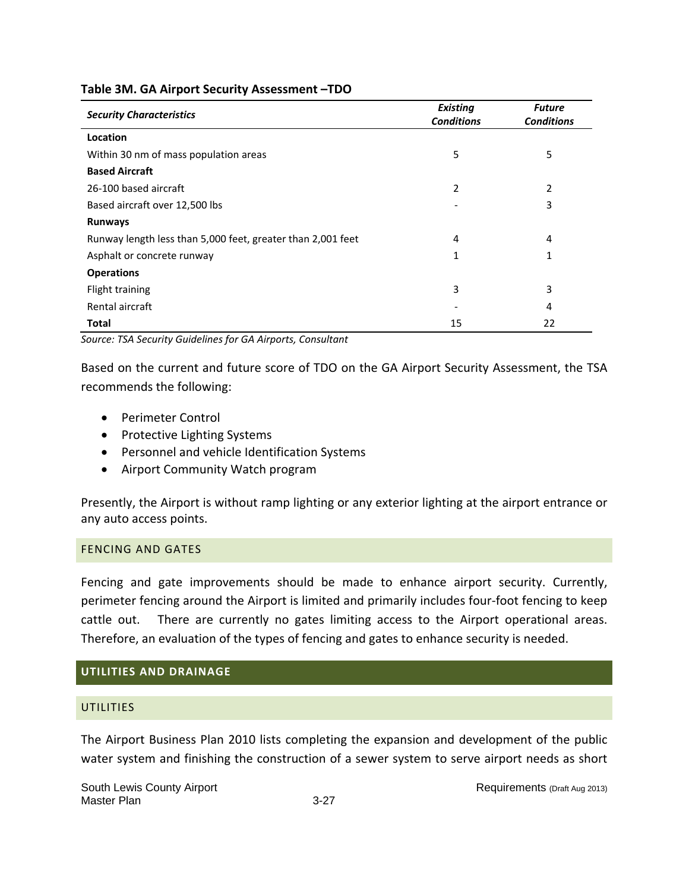|  |  |  |  | Table 3M. GA Airport Security Assessment-TDO |
|--|--|--|--|----------------------------------------------|
|--|--|--|--|----------------------------------------------|

| <b>Security Characteristics</b>                             | <b>Existing</b><br><b>Conditions</b> | <b>Future</b><br><b>Conditions</b> |
|-------------------------------------------------------------|--------------------------------------|------------------------------------|
| Location                                                    |                                      |                                    |
| Within 30 nm of mass population areas                       | 5                                    | 5                                  |
| <b>Based Aircraft</b>                                       |                                      |                                    |
| 26-100 based aircraft                                       | 2                                    | 2                                  |
| Based aircraft over 12,500 lbs                              |                                      | 3                                  |
| <b>Runways</b>                                              |                                      |                                    |
| Runway length less than 5,000 feet, greater than 2,001 feet | 4                                    | 4                                  |
| Asphalt or concrete runway                                  | 1                                    | 1                                  |
| <b>Operations</b>                                           |                                      |                                    |
| Flight training                                             | 3                                    | 3                                  |
| Rental aircraft                                             |                                      | 4                                  |
| <b>Total</b>                                                | 15                                   | 22                                 |

*Source: TSA Security Guidelines for GA Airports, Consultant*

Based on the current and future score of TDO on the GA Airport Security Assessment, the TSA recommends the following:

- Perimeter Control
- Protective Lighting Systems
- Personnel and vehicle Identification Systems
- Airport Community Watch program

Presently, the Airport is without ramp lighting or any exterior lighting at the airport entrance or any auto access points.

# FENCING AND GATES

Fencing and gate improvements should be made to enhance airport security. Currently, perimeter fencing around the Airport is limited and primarily includes four‐foot fencing to keep cattle out. There are currently no gates limiting access to the Airport operational areas. Therefore, an evaluation of the types of fencing and gates to enhance security is needed.

# **UTILITIES AND DRAINAGE**

# **UTILITIES**

The Airport Business Plan 2010 lists completing the expansion and development of the public water system and finishing the construction of a sewer system to serve airport needs as short

South Lewis County Airport **Requirements (Draft Aug 2013)** Requirements (Draft Aug 2013) Master Plan 3-27